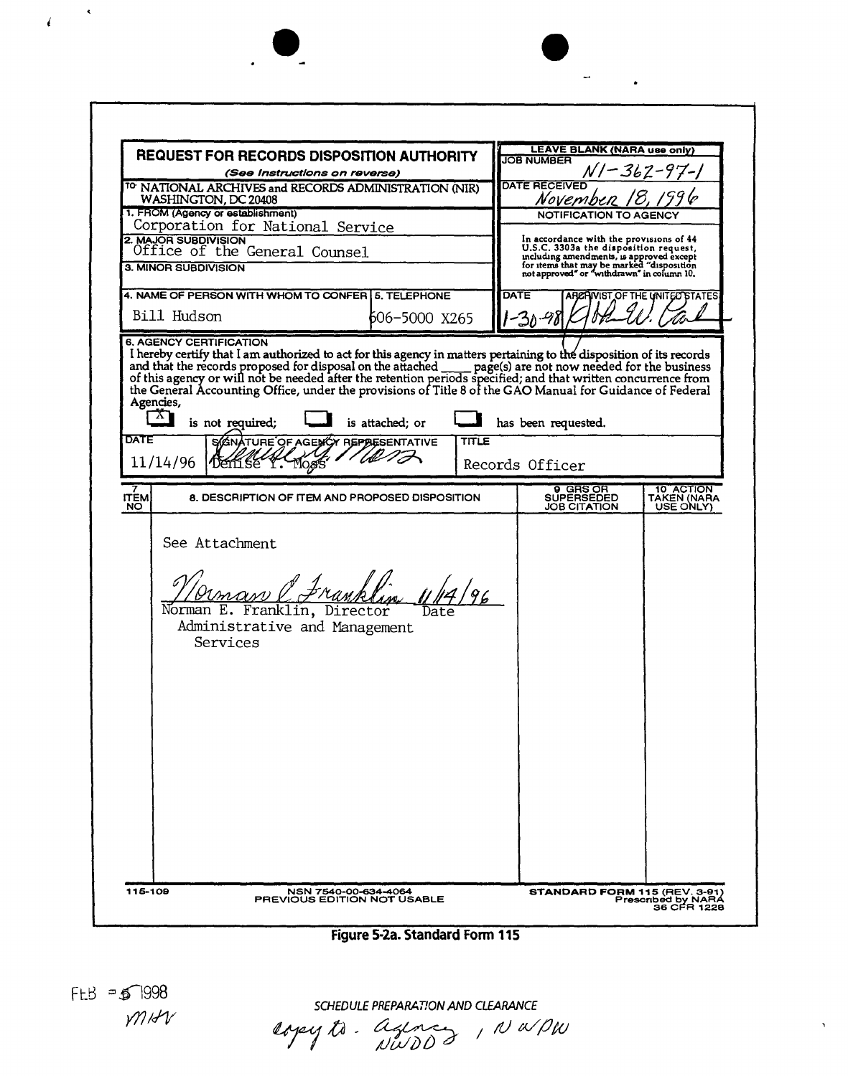| <b>REQUEST FOR RECORDS DISPOSITION AUTHORITY</b><br>(See Instructions on reverse) |                                                                                                                                                                                                                                                                                                                                                                            |                                                       |       | <b>LEAVE BLANK (NARA use only)</b><br><b>JOB NUMBER</b><br>362-                                                                                                                                                             |                        |                                |
|-----------------------------------------------------------------------------------|----------------------------------------------------------------------------------------------------------------------------------------------------------------------------------------------------------------------------------------------------------------------------------------------------------------------------------------------------------------------------|-------------------------------------------------------|-------|-----------------------------------------------------------------------------------------------------------------------------------------------------------------------------------------------------------------------------|------------------------|--------------------------------|
|                                                                                   |                                                                                                                                                                                                                                                                                                                                                                            |                                                       |       |                                                                                                                                                                                                                             |                        |                                |
| 1. FROM (Agency or establishment)<br>Corporation for National Service             |                                                                                                                                                                                                                                                                                                                                                                            |                                                       |       | <b>NOTIFICATION TO AGENCY</b>                                                                                                                                                                                               |                        |                                |
| 2. MAJOR SUBDIVISION<br>Office of the General Counsel<br>3. MINOR SUBDIVISION     |                                                                                                                                                                                                                                                                                                                                                                            |                                                       |       | In accordance with the provisions of 44<br>IT accordance with the disposition request,<br>mchaing amendments, is approved except<br>for items that may be marked "disposition<br>not approved" or "withdrawn" in column 10. |                        |                                |
|                                                                                   | 4. NAME OF PERSON WITH WHOM TO CONFER 5. TELEPHONE                                                                                                                                                                                                                                                                                                                         |                                                       |       | DATE                                                                                                                                                                                                                        |                        | ARCHIVIST OF THE UNITED STATES |
|                                                                                   | Bill Hudson<br>606-5000 X265                                                                                                                                                                                                                                                                                                                                               |                                                       |       | -30-98                                                                                                                                                                                                                      |                        |                                |
| Agencies,<br>X)<br>DATE<br>11/14/96                                               | and that the records proposed for disposal on the attached ___ page(s) are not now needed for the business of this agency or will not be needed after the retention periods specified; and that written concurrence from<br>the General Accounting Office, under the provisions of Title 8 of the GAO Manual for Guidance of Federal<br>is not required;<br>Denise Y. Mogs | is attached; or<br>SCONATURE OF AGENCY REPORSENTATIVE | TITLE | has been requested.<br>Records Officer                                                                                                                                                                                      |                        |                                |
| <b>ITEM</b>                                                                       |                                                                                                                                                                                                                                                                                                                                                                            | 8. DESCRIPTION OF ITEM AND PROPOSED DISPOSITION       |       |                                                                                                                                                                                                                             | 9 GRS OR<br>SUPERSEDED | 10 ACTION<br>TAKEN (NARA       |
|                                                                                   | man PFrankl<br>Norman E. Franklin, Director<br>Administrative and Management<br>Services                                                                                                                                                                                                                                                                                   |                                                       |       |                                                                                                                                                                                                                             |                        |                                |
|                                                                                   |                                                                                                                                                                                                                                                                                                                                                                            |                                                       |       |                                                                                                                                                                                                                             |                        |                                |

 $\frac{1}{2}$  ,  $\frac{1}{2}$ 

Figure 5-2a. Standard Form 115

 $FLB = 51998$ MAN

 $\label{eq:4} \epsilon = \frac{1}{\sqrt{2}}$ 

Į.

SCHEDULE PREPARATION AND CLEARANCE<br>Copey to . agency , NWPW

 $\hat{\mathbf{y}}$